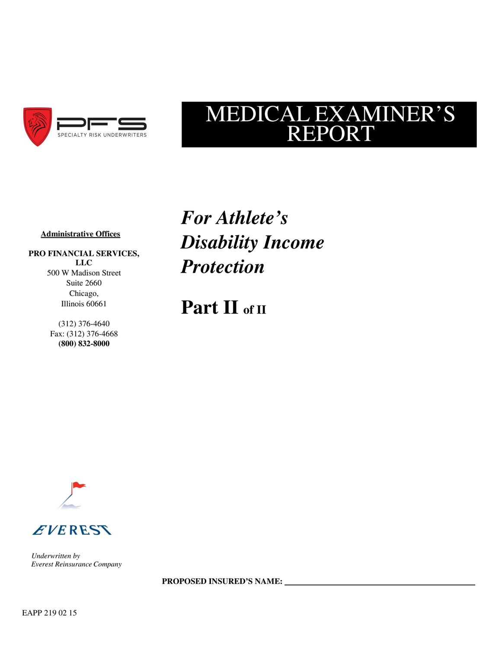

# MEDICAL EXAMINER'S REPORT

### **Administrative Offices**

**PRO FINANCIAL SERVICES, LLC** 500 W Madison Street Suite 2660 Chicago, Illinois 60661

> (312) 376-4640 Fax: (312) 376-4668 **(800) 832-8000**

*For Athlete's Disability Income Protection*

**Part II of II**





*Underwritten by Everest Reinsurance Company*

**PROPOSED INSURED'S NAME:**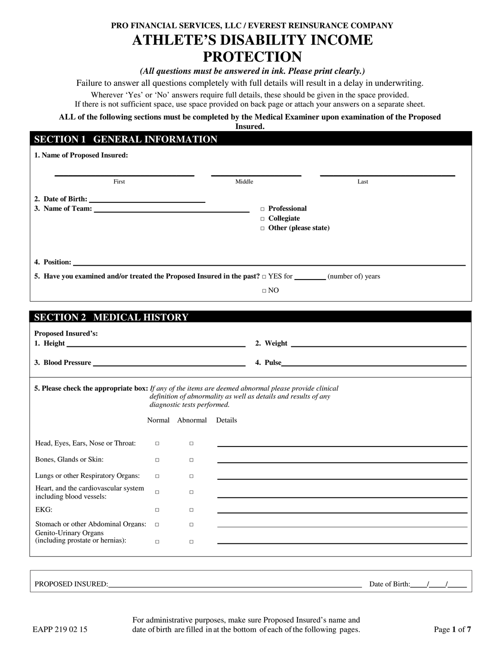# **PRO FINANCIAL SERVICES, LLC / EVEREST REINSURANCE COMPANY ATHLETE'S DISABILITY INCOME PROTECTION**

#### *(All questions must be answered in ink. Please print clearly.)*

Failure to answer all questions completely with full details will result in a delay in underwriting.

Wherever 'Yes' or 'No' answers require full details, these should be given in the space provided. If there is not sufficient space, use space provided on back page or attach your answers on a separate sheet.

**ALL of the following sections must be completed by the Medical Examiner upon examination of the Proposed** 

**Insured.**

## **SECTION 1 GENERAL INFORMATION**

| 1. Name of Proposed Insured:                                                                                   |        |                             |        |                                                                            |                |
|----------------------------------------------------------------------------------------------------------------|--------|-----------------------------|--------|----------------------------------------------------------------------------|----------------|
| First                                                                                                          |        |                             | Middle |                                                                            | Last           |
| 3. Name of Team:                                                                                               |        |                             |        | <b>De</b> Professional<br>$\Box$ Collegiate<br>$\Box$ Other (please state) |                |
| 5. Have you examined and/or treated the Proposed Insured in the past? $\Box$ YES for ________(number of) years |        |                             |        |                                                                            |                |
|                                                                                                                |        |                             |        | $\Box$ NO                                                                  |                |
| <b>SECTION 2 MEDICAL HISTORY</b>                                                                               |        |                             |        |                                                                            |                |
| <b>Proposed Insured's:</b>                                                                                     |        |                             |        |                                                                            |                |
|                                                                                                                |        |                             |        |                                                                            | 4. Pulse       |
| 5. Please check the appropriate box: If any of the items are deemed abnormal please provide clinical           |        | diagnostic tests performed. |        | definition of abnormality as well as details and results of any            |                |
|                                                                                                                |        | Normal Abnormal Details     |        |                                                                            |                |
| Head, Eyes, Ears, Nose or Throat:                                                                              | $\Box$ | $\Box$                      |        |                                                                            |                |
| Bones, Glands or Skin:                                                                                         | $\Box$ | $\Box$                      |        |                                                                            |                |
| Lungs or other Respiratory Organs:                                                                             | $\Box$ | $\Box$                      |        |                                                                            |                |
| Heart, and the cardiovascular system<br>including blood vessels:                                               | $\Box$ | $\Box$                      |        |                                                                            |                |
| EKG:                                                                                                           | $\Box$ | $\Box$                      |        |                                                                            |                |
| Stomach or other Abdominal Organs:                                                                             | $\Box$ | $\Box$                      |        |                                                                            |                |
| Genito-Urinary Organs<br>(including prostate or hernias):                                                      | $\Box$ | $\Box$                      |        |                                                                            |                |
|                                                                                                                |        |                             |        |                                                                            |                |
| PROPOSED INSURED:                                                                                              |        |                             |        |                                                                            | Date of Birth: |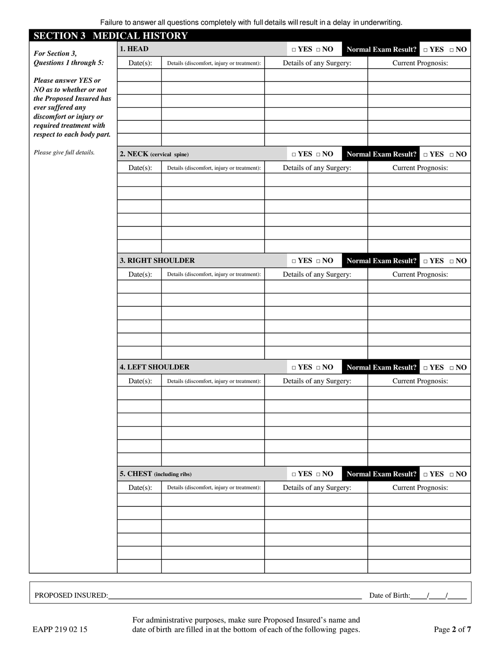Failure to answer all questions completely with full details will result in a delay in underwriting.

| <b>SECTION 3 MEDICAL HISTORY</b>                      |                                                        |                                            |                                          |  |                                                                            |  |
|-------------------------------------------------------|--------------------------------------------------------|--------------------------------------------|------------------------------------------|--|----------------------------------------------------------------------------|--|
| For Section 3,                                        | 1. HEAD                                                |                                            | $\hfill \Box$<br>YES $\hfill \Box$<br>NO |  | <b>Normal Exam Result?</b><br>$\hfill \Box$ {YES} \quad \hfill \Box        |  |
| Questions 1 through 5:                                | Date(s):<br>Details (discomfort, injury or treatment): |                                            | Details of any Surgery:                  |  | <b>Current Prognosis:</b>                                                  |  |
| Please answer YES or                                  |                                                        |                                            |                                          |  |                                                                            |  |
| NO as to whether or not                               |                                                        |                                            |                                          |  |                                                                            |  |
| the Proposed Insured has<br>ever suffered any         |                                                        |                                            |                                          |  |                                                                            |  |
| discomfort or injury or                               |                                                        |                                            |                                          |  |                                                                            |  |
| required treatment with<br>respect to each body part. |                                                        |                                            |                                          |  |                                                                            |  |
| Please give full details.                             | 2. NECK (cervical spine)                               |                                            | $\hfill \Box$<br>YES $\hfill \Box$<br>NO |  | <b>Normal Exam Result?</b><br>$\hfill \Box$<br><br>YES $\hfill \Box$<br>NO |  |
|                                                       | $Date(s)$ :                                            | Details (discomfort, injury or treatment): | Details of any Surgery:                  |  | <b>Current Prognosis:</b>                                                  |  |
|                                                       |                                                        |                                            |                                          |  |                                                                            |  |
|                                                       |                                                        |                                            |                                          |  |                                                                            |  |
|                                                       |                                                        |                                            |                                          |  |                                                                            |  |
|                                                       |                                                        |                                            |                                          |  |                                                                            |  |
|                                                       |                                                        |                                            |                                          |  |                                                                            |  |
|                                                       |                                                        |                                            |                                          |  |                                                                            |  |
|                                                       | 3. RIGHT SHOULDER                                      |                                            | $\Box$ YES $\Box$ NO                     |  | <b>Normal Exam Result?</b><br>$\Box$ YES $\Box$ NO                         |  |
|                                                       | Date(s):                                               | Details (discomfort, injury or treatment): | Details of any Surgery:                  |  | <b>Current Prognosis:</b>                                                  |  |
|                                                       |                                                        |                                            |                                          |  |                                                                            |  |
|                                                       |                                                        |                                            |                                          |  |                                                                            |  |
|                                                       |                                                        |                                            |                                          |  |                                                                            |  |
|                                                       |                                                        |                                            |                                          |  |                                                                            |  |
|                                                       |                                                        |                                            |                                          |  |                                                                            |  |
|                                                       | <b>4. LEFT SHOULDER</b>                                |                                            | $\Box$ YES $\;\Box$ NO                   |  | <b>Normal Exam Result?</b><br>$\Box$ YES $\Box$ NO                         |  |
|                                                       | $Date(s)$ :                                            | Details (discomfort, injury or treatment): | Details of any Surgery:                  |  | <b>Current Prognosis:</b>                                                  |  |
|                                                       |                                                        |                                            |                                          |  |                                                                            |  |
|                                                       |                                                        |                                            |                                          |  |                                                                            |  |
|                                                       |                                                        |                                            |                                          |  |                                                                            |  |
|                                                       |                                                        |                                            |                                          |  |                                                                            |  |
|                                                       |                                                        |                                            |                                          |  |                                                                            |  |
|                                                       |                                                        |                                            |                                          |  |                                                                            |  |
|                                                       | 5. CHEST (including ribs)                              |                                            | $\Box$ YES $\Box$ NO                     |  | <b>Normal Exam Result?</b><br>$\hfill \Box$<br>YES $\hfill \Box$<br>NO     |  |
|                                                       | $Date(s)$ :                                            | Details (discomfort, injury or treatment): | Details of any Surgery:                  |  | <b>Current Prognosis:</b>                                                  |  |
|                                                       |                                                        |                                            |                                          |  |                                                                            |  |
|                                                       |                                                        |                                            |                                          |  |                                                                            |  |
|                                                       |                                                        |                                            |                                          |  |                                                                            |  |
|                                                       |                                                        |                                            |                                          |  |                                                                            |  |
|                                                       |                                                        |                                            |                                          |  |                                                                            |  |
|                                                       |                                                        |                                            |                                          |  |                                                                            |  |

PROPOSED INSURED: Date of Birth: / /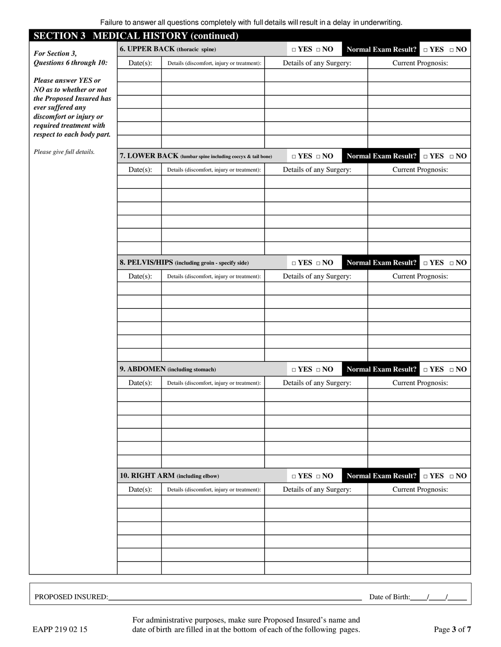| <b>SECTION 3 MEDICAL HISTORY (continued)</b>          |             |                                                           |                         |                                                                            |
|-------------------------------------------------------|-------------|-----------------------------------------------------------|-------------------------|----------------------------------------------------------------------------|
| For Section 3,                                        |             | 6. UPPER BACK (thoracic spine)                            | $\Box$ YES $\Box$ NO    | <b>Normal Exam Result?</b><br>$\Box$ YES $\Box$ NO                         |
| Questions 6 through 10:                               | Date(s):    | Details (discomfort, injury or treatment):                | Details of any Surgery: | <b>Current Prognosis:</b>                                                  |
| Please answer YES or                                  |             |                                                           |                         |                                                                            |
| NO as to whether or not                               |             |                                                           |                         |                                                                            |
| the Proposed Insured has<br>ever suffered any         |             |                                                           |                         |                                                                            |
| discomfort or injury or                               |             |                                                           |                         |                                                                            |
| required treatment with<br>respect to each body part. |             |                                                           |                         |                                                                            |
| Please give full details.                             |             | 7. LOWER BACK (lumbar spine including coccyx & tail bone) | $\Box$ YES $\;\Box$ NO  | <b>Normal Exam Result?</b><br>$\hfill \Box$<br><br>YES $\hfill \Box$<br>NO |
|                                                       | $Date(s)$ : | Details (discomfort, injury or treatment):                | Details of any Surgery: | <b>Current Prognosis:</b>                                                  |
|                                                       |             |                                                           |                         |                                                                            |
|                                                       |             |                                                           |                         |                                                                            |
|                                                       |             |                                                           |                         |                                                                            |
|                                                       |             |                                                           |                         |                                                                            |
|                                                       |             |                                                           |                         |                                                                            |
|                                                       |             |                                                           |                         |                                                                            |
|                                                       |             | 8. PELVIS/HIPS (including groin - specify side)           | $\Box$ YES $\;\Box$ NO  | <b>Normal Exam Result?</b><br>$\Box$ YES $\Box$ NO                         |
|                                                       | $Date(s)$ : | Details (discomfort, injury or treatment):                | Details of any Surgery: | <b>Current Prognosis:</b>                                                  |
|                                                       |             |                                                           |                         |                                                                            |
|                                                       |             |                                                           |                         |                                                                            |
|                                                       |             |                                                           |                         |                                                                            |
|                                                       |             |                                                           |                         |                                                                            |
|                                                       |             |                                                           |                         |                                                                            |
|                                                       |             | 9. ABDOMEN (including stomach)                            | $\Box$ YES $\;\Box$ NO  | <b>Normal Exam Result?</b><br>$\Box$ YES $\Box$ NO                         |
|                                                       | Date(s):    | Details (discomfort, injury or treatment):                | Details of any Surgery: | <b>Current Prognosis:</b>                                                  |
|                                                       |             |                                                           |                         |                                                                            |
|                                                       |             |                                                           |                         |                                                                            |
|                                                       |             |                                                           |                         |                                                                            |
|                                                       |             |                                                           |                         |                                                                            |
|                                                       |             |                                                           |                         |                                                                            |
|                                                       |             |                                                           |                         |                                                                            |
|                                                       |             | 10. RIGHT ARM (including elbow)                           | $\Box$ YES $\;\Box$ NO  | <b>Normal Exam Result?</b><br>$\hfill \Box$<br>YES $\hfill \Box$<br>NO     |
|                                                       | $Date(s)$ : | Details (discomfort, injury or treatment):                | Details of any Surgery: | <b>Current Prognosis:</b>                                                  |
|                                                       |             |                                                           |                         |                                                                            |
|                                                       |             |                                                           |                         |                                                                            |
|                                                       |             |                                                           |                         |                                                                            |
|                                                       |             |                                                           |                         |                                                                            |
|                                                       |             |                                                           |                         |                                                                            |
|                                                       |             |                                                           |                         |                                                                            |

PROPOSED INSURED: Date of Birth: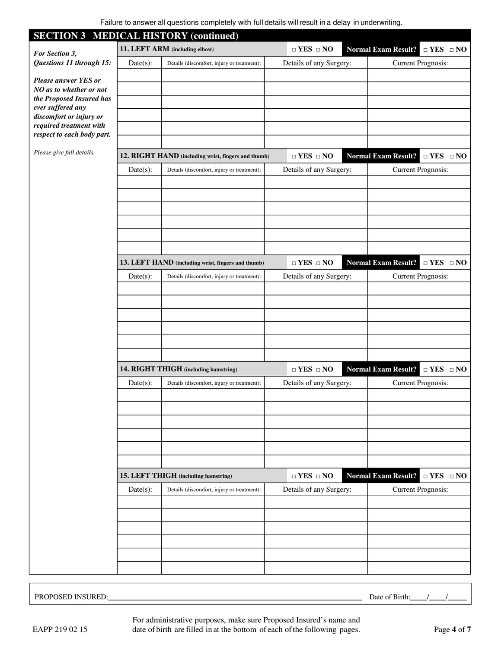| <b>SECTION 3 MEDICAL HISTORY (continued)</b> |             |                                                     |                                          |  |                                                                        |  |
|----------------------------------------------|-------------|-----------------------------------------------------|------------------------------------------|--|------------------------------------------------------------------------|--|
| For Section 3,                               |             | 11. LEFT ARM (including elbow)                      | $\hfill \Box$<br>YES $\hfill \Box$<br>NO |  | <b>Normal Exam Result?</b><br>$\hfill \Box$<br>YES $\hfill \Box$<br>NO |  |
| Questions 11 through 15:                     | $Date(s)$ : | Details (discomfort, injury or treatment):          | Details of any Surgery:                  |  | <b>Current Prognosis:</b>                                              |  |
| <b>Please answer YES or</b>                  |             |                                                     |                                          |  |                                                                        |  |
| NO as to whether or not                      |             |                                                     |                                          |  |                                                                        |  |
| the Proposed Insured has                     |             |                                                     |                                          |  |                                                                        |  |
| ever suffered any<br>discomfort or injury or |             |                                                     |                                          |  |                                                                        |  |
| required treatment with                      |             |                                                     |                                          |  |                                                                        |  |
| respect to each body part.                   |             |                                                     |                                          |  |                                                                        |  |
| Please give full details.                    |             | 12. RIGHT HAND (including wrist, fingers and thumb) | $\hfill \Box$<br>YES $\hfill \Box$<br>NO |  | <b>Normal Exam Result?</b><br>$\hfill \Box$<br>YES $\hfill \Box$<br>NO |  |
|                                              | $Date(s)$ : | Details (discomfort, injury or treatment):          | Details of any Surgery:                  |  | <b>Current Prognosis:</b>                                              |  |
|                                              |             |                                                     |                                          |  |                                                                        |  |
|                                              |             |                                                     |                                          |  |                                                                        |  |
|                                              |             |                                                     |                                          |  |                                                                        |  |
|                                              |             |                                                     |                                          |  |                                                                        |  |
|                                              |             |                                                     |                                          |  |                                                                        |  |
|                                              |             |                                                     |                                          |  |                                                                        |  |
|                                              |             | 13. LEFT HAND (including wrist, fingers and thumb)  | $\Box$ YES $\;\Box$ NO                   |  | <b>Normal Exam Result?</b><br>$\Box$ YES $\Box$ NO                     |  |
|                                              | $Date(s)$ : | Details (discomfort, injury or treatment):          | Details of any Surgery:                  |  | <b>Current Prognosis:</b>                                              |  |
|                                              |             |                                                     |                                          |  |                                                                        |  |
|                                              |             |                                                     |                                          |  |                                                                        |  |
|                                              |             |                                                     |                                          |  |                                                                        |  |
|                                              |             |                                                     |                                          |  |                                                                        |  |
|                                              |             |                                                     |                                          |  |                                                                        |  |
|                                              |             |                                                     |                                          |  |                                                                        |  |
|                                              |             | 14. RIGHT THIGH (including hamstring)               | $\Box$ YES $\;\Box$ NO                   |  | <b>Normal Exam Result?</b><br>$\Box$ YES $\Box$ NO                     |  |
|                                              | $Date(s)$ : | Details (discomfort, injury or treatment):          | Details of any Surgery:                  |  | <b>Current Prognosis:</b>                                              |  |
|                                              |             |                                                     |                                          |  |                                                                        |  |
|                                              |             |                                                     |                                          |  |                                                                        |  |
|                                              |             |                                                     |                                          |  |                                                                        |  |
|                                              |             |                                                     |                                          |  |                                                                        |  |
|                                              |             |                                                     |                                          |  |                                                                        |  |
|                                              |             |                                                     |                                          |  |                                                                        |  |
|                                              |             | 15. LEFT THIGH (including hamstring)                | $\Box$ YES $\;\Box$ NO                   |  | <b>Normal Exam Result?</b><br>$\Box$ YES $\quad \Box$ NO               |  |
|                                              | $Date(s)$ : | Details (discomfort, injury or treatment):          | Details of any Surgery:                  |  | <b>Current Prognosis:</b>                                              |  |
|                                              |             |                                                     |                                          |  |                                                                        |  |
|                                              |             |                                                     |                                          |  |                                                                        |  |
|                                              |             |                                                     |                                          |  |                                                                        |  |
|                                              |             |                                                     |                                          |  |                                                                        |  |
|                                              |             |                                                     |                                          |  |                                                                        |  |
|                                              |             |                                                     |                                          |  |                                                                        |  |
|                                              |             |                                                     |                                          |  |                                                                        |  |

PROPOSED INSURED: Date of Birth: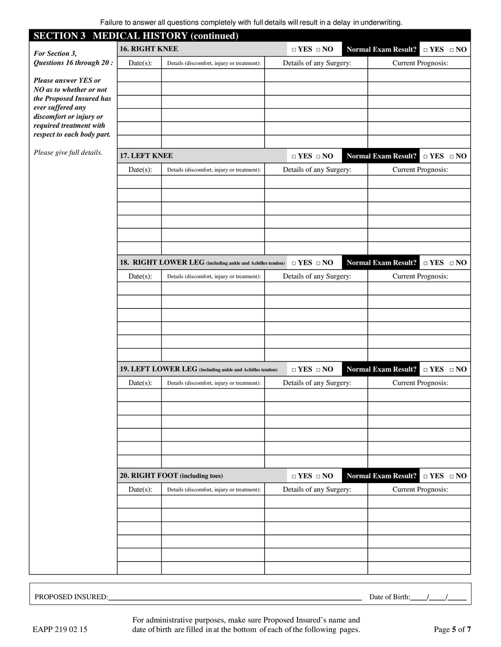Failure to answer all questions completely with full details will result in a delay in underwriting.

| <b>SECTION 3 MEDICAL HISTORY (continued)</b>          |                                                        |                                                           |                         |  |                                                          |                            |  |
|-------------------------------------------------------|--------------------------------------------------------|-----------------------------------------------------------|-------------------------|--|----------------------------------------------------------|----------------------------|--|
| For Section 3,                                        | <b>16. RIGHT KNEE</b>                                  |                                                           | $\Box$ YES $\;\Box$ NO  |  | <b>Normal Exam Result?</b><br>$\Box$ YES $\quad \Box$ NO |                            |  |
| Questions 16 through 20:                              | Date(s):<br>Details (discomfort, injury or treatment): |                                                           | Details of any Surgery: |  | <b>Current Prognosis:</b>                                |                            |  |
| Please answer YES or                                  |                                                        |                                                           |                         |  |                                                          |                            |  |
| NO as to whether or not                               |                                                        |                                                           |                         |  |                                                          |                            |  |
| the Proposed Insured has<br>ever suffered any         |                                                        |                                                           |                         |  |                                                          |                            |  |
| discomfort or injury or                               |                                                        |                                                           |                         |  |                                                          |                            |  |
| required treatment with<br>respect to each body part. |                                                        |                                                           |                         |  |                                                          |                            |  |
|                                                       |                                                        |                                                           |                         |  |                                                          |                            |  |
| Please give full details.                             | 17. LEFT KNEE                                          |                                                           | $\Box$ YES $\;\Box$ NO  |  | <b>Normal Exam Result?</b>                               | $\Box$ YES $\quad \Box$ NO |  |
|                                                       | Date(s):                                               | Details (discomfort, injury or treatment):                | Details of any Surgery: |  | <b>Current Prognosis:</b>                                |                            |  |
|                                                       |                                                        |                                                           |                         |  |                                                          |                            |  |
|                                                       |                                                        |                                                           |                         |  |                                                          |                            |  |
|                                                       |                                                        |                                                           |                         |  |                                                          |                            |  |
|                                                       |                                                        |                                                           |                         |  |                                                          |                            |  |
|                                                       |                                                        |                                                           |                         |  |                                                          |                            |  |
|                                                       |                                                        |                                                           |                         |  |                                                          |                            |  |
|                                                       |                                                        | 18. RIGHT LOWER LEG (including ankle and Achilles tendon) | $\Box$ YES $\Box$ NO    |  | <b>Normal Exam Result?</b>                               | $\Box$ YES $\Box$ NO       |  |
|                                                       | $Date(s)$ :                                            | Details (discomfort, injury or treatment):                | Details of any Surgery: |  | <b>Current Prognosis:</b>                                |                            |  |
|                                                       |                                                        |                                                           |                         |  |                                                          |                            |  |
|                                                       |                                                        |                                                           |                         |  |                                                          |                            |  |
|                                                       |                                                        |                                                           |                         |  |                                                          |                            |  |
|                                                       |                                                        |                                                           |                         |  |                                                          |                            |  |
|                                                       |                                                        |                                                           |                         |  |                                                          |                            |  |
|                                                       |                                                        |                                                           |                         |  |                                                          |                            |  |
|                                                       |                                                        | 19. LEFT LOWER LEG (including ankle and Achilles tendon)  | $\Box$ YES $\;\Box$ NO  |  | <b>Normal Exam Result?</b>                               | $\Box$ YES $\quad \Box$ NO |  |
|                                                       | $Date(s)$ :                                            | Details (discomfort, injury or treatment):                | Details of any Surgery: |  | <b>Current Prognosis:</b>                                |                            |  |
|                                                       |                                                        |                                                           |                         |  |                                                          |                            |  |
|                                                       |                                                        |                                                           |                         |  |                                                          |                            |  |
|                                                       |                                                        |                                                           |                         |  |                                                          |                            |  |
|                                                       |                                                        |                                                           |                         |  |                                                          |                            |  |
|                                                       |                                                        |                                                           |                         |  |                                                          |                            |  |
|                                                       |                                                        |                                                           |                         |  |                                                          |                            |  |
|                                                       |                                                        | 20. RIGHT FOOT (including toes)                           | $\Box$ YES $\Box$ NO    |  | <b>Normal Exam Result?</b>                               | $\Box$ YES $\Box$ NO       |  |
|                                                       | Date(s):                                               | Details (discomfort, injury or treatment):                | Details of any Surgery: |  | <b>Current Prognosis:</b>                                |                            |  |
|                                                       |                                                        |                                                           |                         |  |                                                          |                            |  |
|                                                       |                                                        |                                                           |                         |  |                                                          |                            |  |
|                                                       |                                                        |                                                           |                         |  |                                                          |                            |  |
|                                                       |                                                        |                                                           |                         |  |                                                          |                            |  |
|                                                       |                                                        |                                                           |                         |  |                                                          |                            |  |
|                                                       |                                                        |                                                           |                         |  |                                                          |                            |  |

PROPOSED INSURED: Date of Birth: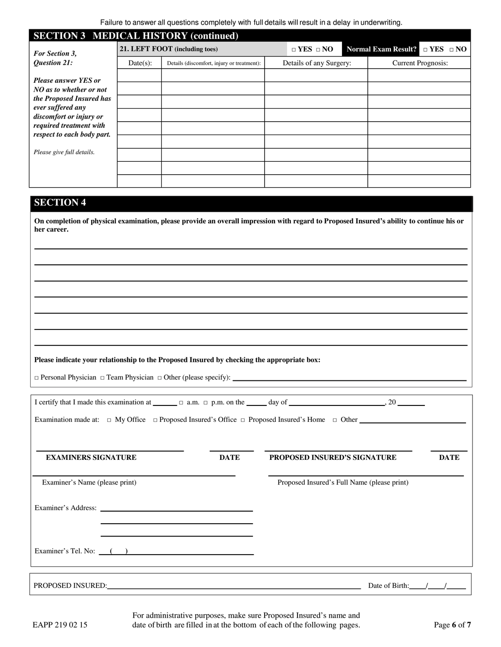| <b>SECTION 3 MEDICAL HISTORY (continued)</b>                                                                                                                                                |                                |                                            |  |                         |  |                                          |  |  |
|---------------------------------------------------------------------------------------------------------------------------------------------------------------------------------------------|--------------------------------|--------------------------------------------|--|-------------------------|--|------------------------------------------|--|--|
| <b>For Section 3.</b>                                                                                                                                                                       | 21. LEFT FOOT (including toes) |                                            |  | $\Box$ YES $\Box$ NO    |  | Normal Exam Result? $\Box$ YES $\Box$ NO |  |  |
| Question 21:                                                                                                                                                                                | $Date(s)$ :                    | Details (discomfort, injury or treatment): |  | Details of any Surgery: |  | <b>Current Prognosis:</b>                |  |  |
| <b>Please answer YES or</b><br>NO as to whether or not<br>the Proposed Insured has<br>ever suffered any<br>discomfort or injury or<br>required treatment with<br>respect to each body part. |                                |                                            |  |                         |  |                                          |  |  |
| Please give full details.                                                                                                                                                                   |                                |                                            |  |                         |  |                                          |  |  |
|                                                                                                                                                                                             |                                |                                            |  |                         |  |                                          |  |  |
|                                                                                                                                                                                             |                                |                                            |  |                         |  |                                          |  |  |

# **SECTION 4**

**On completion of physical examination, please provide an overall impression with regard to Proposed Insured's ability to continue his or her career.** 

#### **Please indicate your relationship to the Proposed Insured by checking the appropriate box:**

□ Personal Physician □ Team Physician □ Other (please specify):

|                                                                                                                    | I certify that I made this examination at $\Box$ $\Box$ a.m. $\Box$ p.m. on the $\Box$ day of $\Box$ and $\Box$ and $\Box$ and $\Box$ a.m. $\Box$ p.m. on the $\Box$ and $\Box$ and $\Box$ and $\Box$ and $\Box$ and $\Box$ and $\Box$ and $\Box$ and $\Box$ and |                                                                                  |  |                                             |             |  |  |  |
|--------------------------------------------------------------------------------------------------------------------|------------------------------------------------------------------------------------------------------------------------------------------------------------------------------------------------------------------------------------------------------------------|----------------------------------------------------------------------------------|--|---------------------------------------------|-------------|--|--|--|
| Examination made at: $\Box$ My Office $\Box$ Proposed Insured's Office $\Box$ Proposed Insured's Home $\Box$ Other |                                                                                                                                                                                                                                                                  |                                                                                  |  |                                             |             |  |  |  |
|                                                                                                                    |                                                                                                                                                                                                                                                                  |                                                                                  |  |                                             |             |  |  |  |
| <b>EXAMINERS SIGNATURE</b>                                                                                         |                                                                                                                                                                                                                                                                  | <b>DATE</b>                                                                      |  | <b>PROPOSED INSURED'S SIGNATURE</b>         | <b>DATE</b> |  |  |  |
| Examiner's Name (please print)                                                                                     |                                                                                                                                                                                                                                                                  |                                                                                  |  | Proposed Insured's Full Name (please print) |             |  |  |  |
|                                                                                                                    |                                                                                                                                                                                                                                                                  |                                                                                  |  |                                             |             |  |  |  |
|                                                                                                                    |                                                                                                                                                                                                                                                                  |                                                                                  |  |                                             |             |  |  |  |
|                                                                                                                    |                                                                                                                                                                                                                                                                  | Examiner's Tel. No: $($ $)$                                                      |  |                                             |             |  |  |  |
|                                                                                                                    |                                                                                                                                                                                                                                                                  | ,我们也不会有什么。""我们的人,我们也不会有什么?""我们的人,我们也不会有什么?""我们的人,我们也不会有什么?""我们的人,我们也不会有什么?""我们的人 |  |                                             |             |  |  |  |
|                                                                                                                    |                                                                                                                                                                                                                                                                  | PROPOSED INSURED:                                                                |  | Date of Birth: $/$ /                        |             |  |  |  |

For administrative purposes, make sure Proposed Insured's name and EAPP 219 02 15 date of birth are filled in at the bottom of each of the following pages. Page 6 of 7